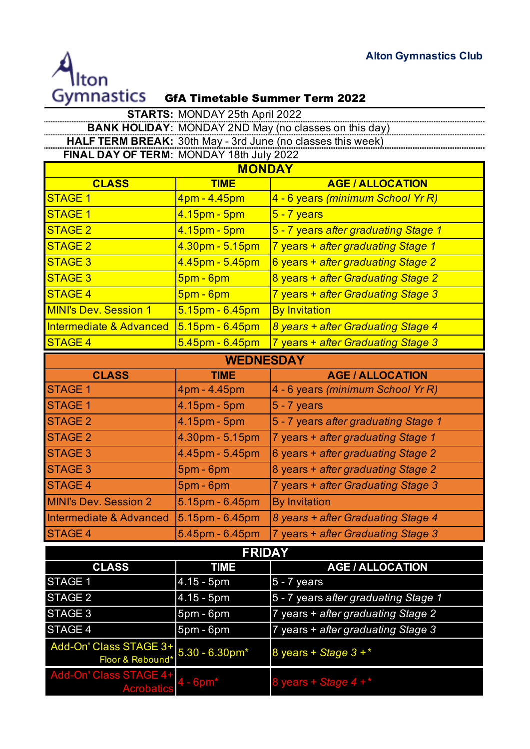

| <b>STARTS: MONDAY 25th April 2022</b>                                                                   |                    |                                      |
|---------------------------------------------------------------------------------------------------------|--------------------|--------------------------------------|
| <b>BANK HOLIDAY: MONDAY 2ND May (no classes on this day)</b>                                            |                    |                                      |
| HALF TERM BREAK: 30th May - 3rd June (no classes this week)<br>FINAL DAY OF TERM: MONDAY 18th July 2022 |                    |                                      |
| <b>MONDAY</b>                                                                                           |                    |                                      |
| <b>CLASS</b>                                                                                            | <b>TIME</b>        | <b>AGE / ALLOCATION</b>              |
| <b>STAGE 1</b>                                                                                          | 4pm - 4.45pm       | 4 - 6 years (minimum School Yr R)    |
| <b>STAGE 1</b>                                                                                          | 4.15pm - 5pm       | $5 - 7$ years                        |
| <b>STAGE 2</b>                                                                                          | 4.15pm - 5pm       | 5 - 7 years after graduating Stage 1 |
| <b>STAGE 2</b>                                                                                          | 4.30pm - 5.15pm    | 7 years + after graduating Stage 1   |
| <b>STAGE 3</b>                                                                                          | 4.45pm - 5.45pm    | 6 years + after graduating Stage 2   |
| <b>STAGE 3</b>                                                                                          | $5$ pm - 6pm       | 8 years + after Graduating Stage 2   |
| <b>STAGE 4</b>                                                                                          | $5pm - 6pm$        | 7 years + after Graduating Stage 3   |
| <b>MINI's Dev. Session 1</b>                                                                            | $5.15pm - 6.45pm$  | <b>By Invitation</b>                 |
| <b>Intermediate &amp; Advanced</b>                                                                      | $5.15pm - 6.45pm$  | 8 years + after Graduating Stage 4   |
| <b>STAGE 4</b>                                                                                          | $5.45$ pm - 6.45pm | 7 years + after Graduating Stage 3   |
| <b>WEDNESDAY</b>                                                                                        |                    |                                      |
| <b>CLASS</b>                                                                                            | <b>TIME</b>        | <b>AGE / ALLOCATION</b>              |
| <b>STAGE 1</b>                                                                                          | 4pm - 4.45pm       | 4 - 6 years (minimum School Yr R)    |
| <b>STAGE 1</b>                                                                                          | 4.15pm - 5pm       | $5 - 7$ years                        |
| <b>STAGE 2</b>                                                                                          | 4.15pm - 5pm       | 5 - 7 years after graduating Stage 1 |
| <b>STAGE 2</b>                                                                                          | 4.30pm - 5.15pm    | 7 years + after graduating Stage 1   |
| <b>STAGE 3</b>                                                                                          | 4.45pm - 5.45pm    | 6 years + after graduating Stage 2   |
| <b>STAGE 3</b>                                                                                          | $5pm - 6pm$        | 8 years + after graduating Stage 2   |
| <b>STAGE 4</b>                                                                                          | $5pm - 6pm$        | 7 years + after Graduating Stage 3   |
| <b>MINI's Dev. Session 2</b>                                                                            | 5.15pm - 6.45pm    | <b>By Invitation</b>                 |
| <b>Intermediate &amp; Advanced</b>                                                                      | $5.15pm - 6.45pm$  | 8 years + after Graduating Stage 4   |
| <b>STAGE 4</b>                                                                                          | 5.45pm - 6.45pm    | 7 years + after Graduating Stage 3   |
| <b>FRIDAY</b>                                                                                           |                    |                                      |
| <b>CLASS</b>                                                                                            | <b>TIME</b>        | <b>AGE / ALLOCATION</b>              |
| STAGE 1                                                                                                 | $4.15 - 5pm$       | $5 - 7$ years                        |
| <b>STAGE 2</b>                                                                                          | $4.15 - 5pm$       | 5 - 7 years after graduating Stage 1 |
| STAGE 3                                                                                                 | 5pm - 6pm          | 7 years + after graduating Stage 2   |
| STAGE 4                                                                                                 | 5pm - 6pm          | 7 years + after graduating Stage 3   |
| Add-On' Class STAGE 3+<br>Floor & Rebound*                                                              | $5.30 - 6.30$ pm*  | 8 years + Stage $3 +$ *              |
| Add-On' Class STAGE 4+<br><u>Acrobatics</u>                                                             | $-6pm*$            | 8 years + Stage 4 +*                 |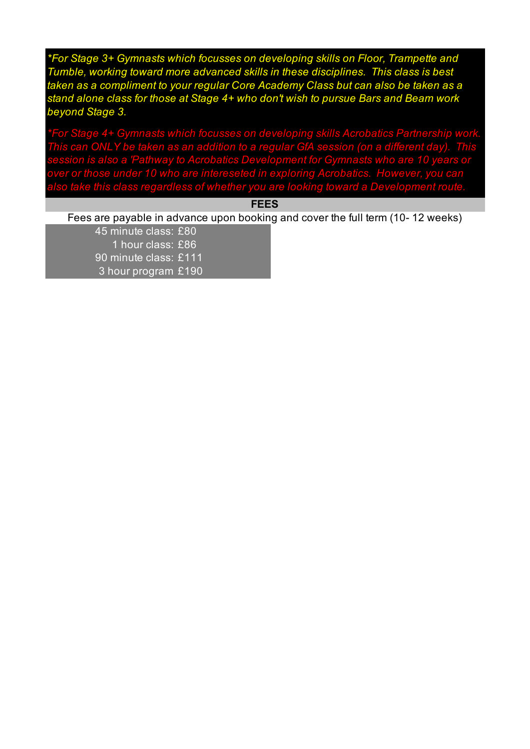*\*For Stage 3+ Gymnasts which focusses on developing skills on Floor, Trampette and Tumble, working toward more advanced skills in these disciplines. This class is best taken as a compliment to your regular Core Academy Class but can also be taken as a stand alone class for those at Stage 4+ who don't wish to pursue Bars and Beam work beyond Stage 3.*

*\*For Stage 4+ Gymnasts which focusses on developing skills Acrobatics Partnership work. This can ONLY be taken as an addition to a regular GfA session (on a different day). This session is also a 'Pathway to Acrobatics Development for Gymnasts who are 10 years or over or those under 10 who are intereseted in exploring Acrobatics. However, you can also take this class regardless of whether you are looking toward a Development route.*

**FEES**

Fees are payable in advance upon booking and cover the full term (10- 12 weeks)

45 minute class: £80 1 hour class: £86 90 minute class: £111 3 hour program £190